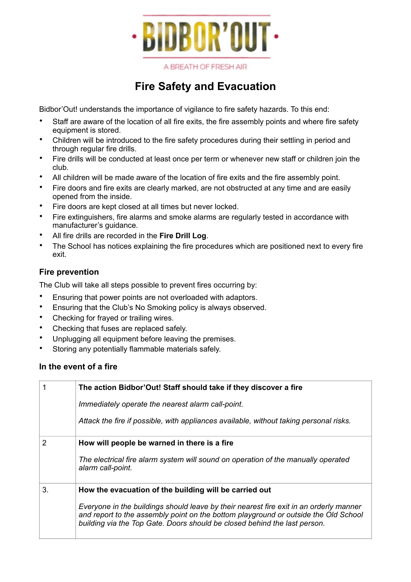

A BREATH OF FRESH AIR

# **Fire Safety and Evacuation**

Bidbor'Out! understands the importance of vigilance to fire safety hazards. To this end:

- Staff are aware of the location of all fire exits, the fire assembly points and where fire safety equipment is stored.
- Children will be introduced to the fire safety procedures during their settling in period and through regular fire drills.
- Fire drills will be conducted at least once per term or whenever new staff or children join the club.
- All children will be made aware of the location of fire exits and the fire assembly point.
- Fire doors and fire exits are clearly marked, are not obstructed at any time and are easily opened from the inside.
- Fire doors are kept closed at all times but never locked.
- Fire extinguishers, fire alarms and smoke alarms are regularly tested in accordance with manufacturer's guidance.
- All fire drills are recorded in the **Fire Drill Log**.
- The School has notices explaining the fire procedures which are positioned next to every fire exit.

## **Fire prevention**

The Club will take all steps possible to prevent fires occurring by:

- Ensuring that power points are not overloaded with adaptors.
- Ensuring that the Club's No Smoking policy is always observed.
- Checking for frayed or trailing wires.
- Checking that fuses are replaced safely.
- Unplugging all equipment before leaving the premises.
- Storing any potentially flammable materials safely.

### **In the event of a fire**

| The action Bidbor'Out! Staff should take if they discover a fire |                                                                                                                                                                                                                                                            |
|------------------------------------------------------------------|------------------------------------------------------------------------------------------------------------------------------------------------------------------------------------------------------------------------------------------------------------|
|                                                                  | Immediately operate the nearest alarm call-point.                                                                                                                                                                                                          |
|                                                                  | Attack the fire if possible, with appliances available, without taking personal risks.                                                                                                                                                                     |
| 2                                                                | How will people be warned in there is a fire                                                                                                                                                                                                               |
|                                                                  | The electrical fire alarm system will sound on operation of the manually operated<br>alarm call-point.                                                                                                                                                     |
| 3.                                                               | How the evacuation of the building will be carried out                                                                                                                                                                                                     |
|                                                                  | Everyone in the buildings should leave by their nearest fire exit in an orderly manner<br>and report to the assembly point on the bottom playground or outside the Old School<br>building via the Top Gate. Doors should be closed behind the last person. |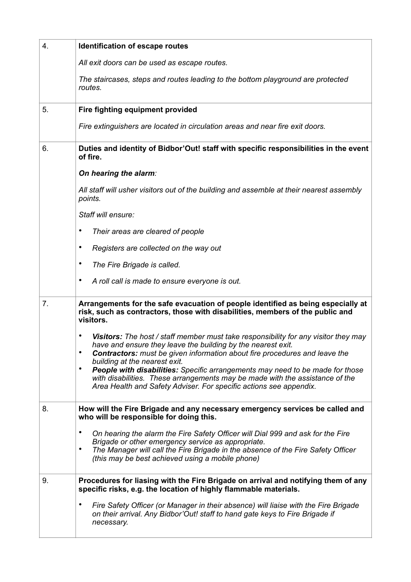| 4. | Identification of escape routes                                                                                                                                                                                                                                                                                                                                                                                                                                                                                     |
|----|---------------------------------------------------------------------------------------------------------------------------------------------------------------------------------------------------------------------------------------------------------------------------------------------------------------------------------------------------------------------------------------------------------------------------------------------------------------------------------------------------------------------|
|    | All exit doors can be used as escape routes.                                                                                                                                                                                                                                                                                                                                                                                                                                                                        |
|    | The staircases, steps and routes leading to the bottom playground are protected<br>routes.                                                                                                                                                                                                                                                                                                                                                                                                                          |
| 5. | Fire fighting equipment provided                                                                                                                                                                                                                                                                                                                                                                                                                                                                                    |
|    | Fire extinguishers are located in circulation areas and near fire exit doors.                                                                                                                                                                                                                                                                                                                                                                                                                                       |
| 6. | Duties and identity of Bidbor'Out! staff with specific responsibilities in the event<br>of fire.                                                                                                                                                                                                                                                                                                                                                                                                                    |
|    | On hearing the alarm:                                                                                                                                                                                                                                                                                                                                                                                                                                                                                               |
|    | All staff will usher visitors out of the building and assemble at their nearest assembly<br>points.                                                                                                                                                                                                                                                                                                                                                                                                                 |
|    | Staff will ensure:                                                                                                                                                                                                                                                                                                                                                                                                                                                                                                  |
|    | Their areas are cleared of people<br>٠                                                                                                                                                                                                                                                                                                                                                                                                                                                                              |
|    | ٠<br>Registers are collected on the way out                                                                                                                                                                                                                                                                                                                                                                                                                                                                         |
|    | ٠<br>The Fire Brigade is called.                                                                                                                                                                                                                                                                                                                                                                                                                                                                                    |
|    | ٠<br>A roll call is made to ensure everyone is out.                                                                                                                                                                                                                                                                                                                                                                                                                                                                 |
| 7. | Arrangements for the safe evacuation of people identified as being especially at<br>risk, such as contractors, those with disabilities, members of the public and<br>visitors.                                                                                                                                                                                                                                                                                                                                      |
|    | Visitors: The host / staff member must take responsibility for any visitor they may<br>have and ensure they leave the building by the nearest exit.<br>Contractors: must be given information about fire procedures and leave the<br>٠<br>building at the nearest exit.<br>People with disabilities: Specific arrangements may need to be made for those<br>٠<br>with disabilities. These arrangements may be made with the assistance of the<br>Area Health and Safety Adviser. For specific actions see appendix. |
| 8. | How will the Fire Brigade and any necessary emergency services be called and<br>who will be responsible for doing this.                                                                                                                                                                                                                                                                                                                                                                                             |
|    | On hearing the alarm the Fire Safety Officer will Dial 999 and ask for the Fire<br>$\bullet$<br>Brigade or other emergency service as appropriate.<br>The Manager will call the Fire Brigade in the absence of the Fire Safety Officer<br>$\bullet$<br>(this may be best achieved using a mobile phone)                                                                                                                                                                                                             |
| 9. | Procedures for liasing with the Fire Brigade on arrival and notifying them of any<br>specific risks, e.g. the location of highly flammable materials.                                                                                                                                                                                                                                                                                                                                                               |
|    | Fire Safety Officer (or Manager in their absence) will liaise with the Fire Brigade<br>٠<br>on their arrival. Any Bidbor'Out! staff to hand gate keys to Fire Brigade if<br>necessary.                                                                                                                                                                                                                                                                                                                              |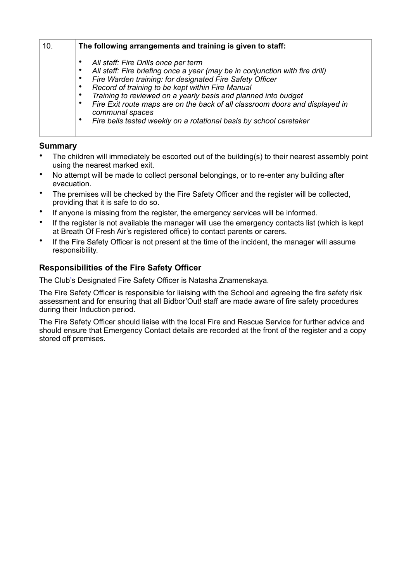| 10. | The following arrangements and training is given to staff:                                                                                                                                                                                                                                                                                                                                                                                                                                                                                                                 |  |
|-----|----------------------------------------------------------------------------------------------------------------------------------------------------------------------------------------------------------------------------------------------------------------------------------------------------------------------------------------------------------------------------------------------------------------------------------------------------------------------------------------------------------------------------------------------------------------------------|--|
|     | All staff: Fire Drills once per term<br>$\bullet$<br>All staff: Fire briefing once a year (may be in conjunction with fire drill)<br>$\bullet$<br>Fire Warden training: for designated Fire Safety Officer<br>$\bullet$<br>Record of training to be kept within Fire Manual<br>$\bullet$<br>Training to reviewed on a yearly basis and planned into budget<br>$\bullet$<br>Fire Exit route maps are on the back of all classroom doors and displayed in<br>$\bullet$<br>communal spaces<br>Fire bells tested weekly on a rotational basis by school caretaker<br>$\bullet$ |  |

#### **Summary**

- The children will immediately be escorted out of the building(s) to their nearest assembly point using the nearest marked exit.
- No attempt will be made to collect personal belongings, or to re-enter any building after evacuation.
- The premises will be checked by the Fire Safety Officer and the register will be collected, providing that it is safe to do so.
- If anyone is missing from the register, the emergency services will be informed.
- If the register is not available the manager will use the emergency contacts list (which is kept at Breath Of Fresh Air's registered office) to contact parents or carers.
- If the Fire Safety Officer is not present at the time of the incident, the manager will assume responsibility.

### **Responsibilities of the Fire Safety Officer**

The Club's Designated Fire Safety Officer is Natasha Znamenskaya.

The Fire Safety Officer is responsible for liaising with the School and agreeing the fire safety risk assessment and for ensuring that all Bidbor'Out! staff are made aware of fire safety procedures during their Induction period.

The Fire Safety Officer should liaise with the local Fire and Rescue Service for further advice and should ensure that Emergency Contact details are recorded at the front of the register and a copy stored off premises.